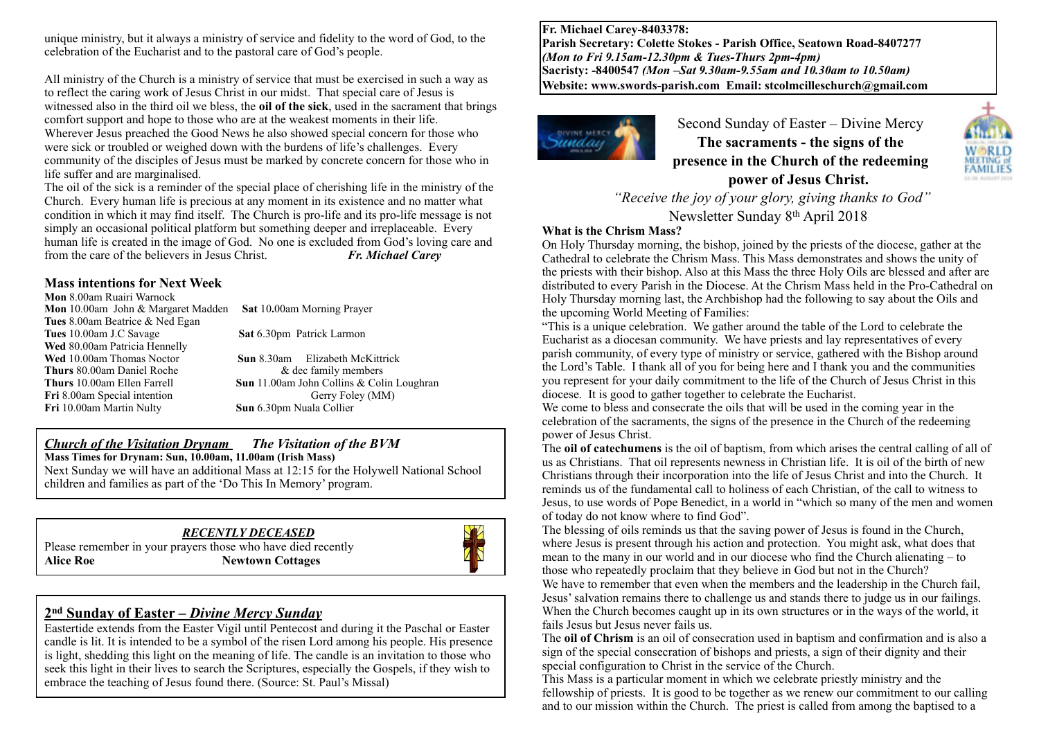unique ministry, but it always a ministry of service and fidelity to the word of God, to the celebration of the Eucharist and to the pastoral care of God's people.

All ministry of the Church is a ministry of service that must be exercised in such a way as to reflect the caring work of Jesus Christ in our midst. That special care of Jesus is witnessed also in the third oil we bless, the **oil of the sick**, used in the sacrament that brings comfort support and hope to those who are at the weakest moments in their life. Wherever Jesus preached the Good News he also showed special concern for those who were sick or troubled or weighed down with the burdens of life's challenges. Every community of the disciples of Jesus must be marked by concrete concern for those who in life suffer and are marginalised.

The oil of the sick is a reminder of the special place of cherishing life in the ministry of the Church. Every human life is precious at any moment in its existence and no matter what condition in which it may find itself. The Church is pro-life and its pro-life message is not simply an occasional political platform but something deeper and irreplaceable. Every human life is created in the image of God. No one is excluded from God's loving care and from the care of the believers in Jesus Christ. *Fr. Michael Carey*

#### **Mass intentions for Next Week**

**Mon** 8.00am Ruairi Warnock **Mon** 10.00am John & Margaret Madden **Sat** 10**.**00am Morning Prayer **Tues** 8.00am Beatrice & Ned Egan **Wed** 80.00am Patricia Hennelly **Wed** 10.00am Thomas Noctor **Sun** 8.30am Elizabeth McKittrick **Thurs** 80.00am Daniel Roche  $\alpha$  dec family members **Fri** 8.00am Special intention Gerry Foley (MM) **Fri** 10.00am Martin Nulty **Sun** 6.30pm Nuala Collier

**Sat** 6.30pm Patrick Larmon

**Thurs** 10.00am Ellen Farrell **Sun** 11.00am John Collins & Colin Loughran

#### *Church of the Visitation Drynam**The Visitation of the BVM* **Mass Times for Drynam: Sun, 10.00am, 11.00am (Irish Mass)** Next Sunday we will have an additional Mass at 12:15 for the Holywell National School

children and families as part of the 'Do This In Memory' program.

## *RECENTLY DECEASED*

Please remember in your prayers those who have died recently Alice Roe **Newtown Cottages** 



### **2nd Sunday of Easter** *– Divine Mercy Sunday*

Eastertide extends from the Easter Vigil until Pentecost and during it the Paschal or Easter candle is lit. It is intended to be a symbol of the risen Lord among his people. His presence is light, shedding this light on the meaning of life. The candle is an invitation to those who seek this light in their lives to search the Scriptures, especially the Gospels, if they wish to embrace the teaching of Jesus found there. (Source: St. Paul's Missal)

**Fr. Michael Carey-8403378: Parish Secretary: Colette Stokes - Parish Office, Seatown Road-8407277**  *(Mon to Fri 9.15am-12.30pm & Tues-Thurs 2pm-4pm)*  **Sacristy: -8400547** *(Mon –Sat 9.30am-9.55am and 10.30am to 10.50am)* **Website: [www.swords-parish.com Email:](http://www.swords-parish.com%20%20email) stcolmcilleschurch@gmail.com**



Second Sunday of Easter – Divine Mercy **The sacraments - the signs of the presence in the Church of the redeeming power of Jesus Christ.** 



#### **What is the Chrism Mass?**

On Holy Thursday morning, the bishop, joined by the priests of the diocese, gather at the Cathedral to celebrate the Chrism Mass. This Mass demonstrates and shows the unity of the priests with their bishop. Also at this Mass the three Holy Oils are blessed and after are distributed to every Parish in the Diocese. At the Chrism Mass held in the Pro-Cathedral on Holy Thursday morning last, the Archbishop had the following to say about the Oils and the upcoming World Meeting of Families:

"This is a unique celebration. We gather around the table of the Lord to celebrate the Eucharist as a diocesan community. We have priests and lay representatives of every parish community, of every type of ministry or service, gathered with the Bishop around the Lord's Table. I thank all of you for being here and I thank you and the communities you represent for your daily commitment to the life of the Church of Jesus Christ in this diocese. It is good to gather together to celebrate the Eucharist.

We come to bless and consecrate the oils that will be used in the coming year in the celebration of the sacraments, the signs of the presence in the Church of the redeeming power of Jesus Christ.

The **oil of catechumens** is the oil of baptism, from which arises the central calling of all of us as Christians. That oil represents newness in Christian life. It is oil of the birth of new Christians through their incorporation into the life of Jesus Christ and into the Church. It reminds us of the fundamental call to holiness of each Christian, of the call to witness to Jesus, to use words of Pope Benedict, in a world in "which so many of the men and women of today do not know where to find God".

The blessing of oils reminds us that the saving power of Jesus is found in the Church, where Jesus is present through his action and protection. You might ask, what does that mean to the many in our world and in our diocese who find the Church alienating – to those who repeatedly proclaim that they believe in God but not in the Church?

We have to remember that even when the members and the leadership in the Church fail, Jesus' salvation remains there to challenge us and stands there to judge us in our failings. When the Church becomes caught up in its own structures or in the ways of the world, it fails Jesus but Jesus never fails us.

The **oil of Chrism** is an oil of consecration used in baptism and confirmation and is also a sign of the special consecration of bishops and priests, a sign of their dignity and their special configuration to Christ in the service of the Church.

This Mass is a particular moment in which we celebrate priestly ministry and the fellowship of priests. It is good to be together as we renew our commitment to our calling and to our mission within the Church. The priest is called from among the baptised to a